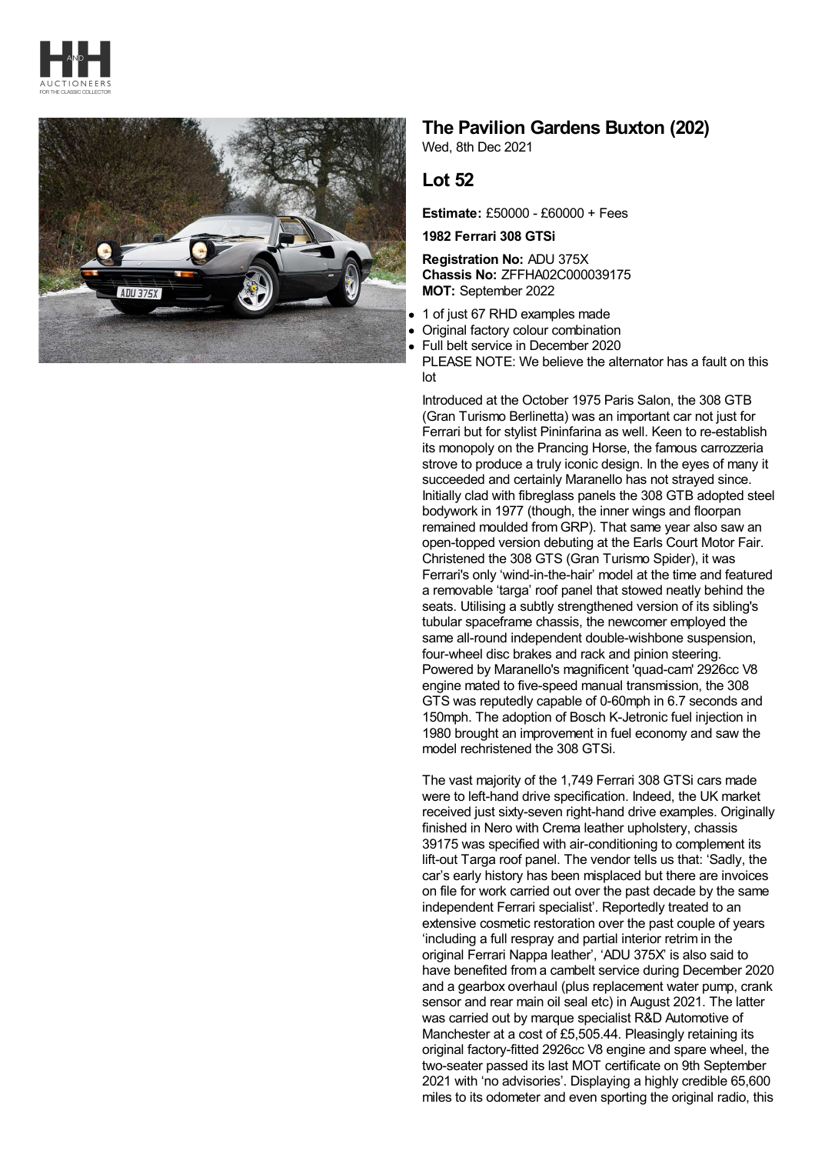



## **The Pavilion Gardens Buxton (202)**

Wed, 8th Dec 2021

## **Lot 52**

**Estimate:** £50000 - £60000 + Fees

**1982 Ferrari 308 GTSi**

**Registration No:** ADU 375X **Chassis No:** ZFFHA02C000039175 **MOT:** September 2022

- 1 of just 67 RHD examples made
- Original factory colour combination
- Full belt service in December 2020

PLEASE NOTE: We believe the alternator has a fault on this lot

Introduced at the October 1975 Paris Salon, the 308 GTB (Gran Turismo Berlinetta) was an important car not just for Ferrari but for stylist Pininfarina as well. Keen to re-establish its monopoly on the Prancing Horse, the famous carrozzeria strove to produce a truly iconic design. In the eyes of many it succeeded and certainly Maranello has not strayed since. Initially clad with fibreglass panels the 308 GTB adopted steel bodywork in 1977 (though, the inner wings and floorpan remained moulded from GRP). That same year also saw an open-topped version debuting at the Earls Court Motor Fair. Christened the 308 GTS (Gran Turismo Spider), it was Ferrari's only 'wind-in-the-hair' model at the time and featured a removable 'targa' roof panel that stowed neatly behind the seats. Utilising a subtly strengthened version of its sibling's tubular spaceframe chassis, the newcomer employed the same all-round independent double-wishbone suspension, four-wheel disc brakes and rack and pinion steering. Powered by Maranello's magnificent 'quad-cam' 2926cc V8 engine mated to five-speed manual transmission, the 308 GTS was reputedly capable of 0-60mph in 6.7 seconds and 150mph. The adoption of Bosch K-Jetronic fuel injection in 1980 brought an improvement in fuel economy and saw the model rechristened the 308 GTSi.

The vast majority of the 1,749 Ferrari 308 GTSi cars made were to left-hand drive specification. Indeed, the UK market received just sixty-seven right-hand drive examples. Originally finished in Nero with Crema leather upholstery, chassis 39175 was specified with air-conditioning to complement its lift-out Targa roof panel. The vendor tells us that: 'Sadly, the car's early history has been misplaced but there are invoices on file for work carried out over the past decade by the same independent Ferrari specialist'. Reportedly treated to an extensive cosmetic restoration over the past couple of years 'including a full respray and partial interior retrim in the original Ferrari Nappa leather', 'ADU 375X' is also said to have benefited from a cambelt service during December 2020 and a gearbox overhaul (plus replacement water pump, crank sensor and rear main oil seal etc) in August 2021. The latter was carried out by marque specialist R&D Automotive of Manchester at a cost of £5,505.44. Pleasingly retaining its original factory-fitted 2926cc V8 engine and spare wheel, the two-seater passed its last MOT certificate on 9th September 2021 with 'no advisories'. Displaying a highly credible 65,600 miles to its odometer and even sporting the original radio, this